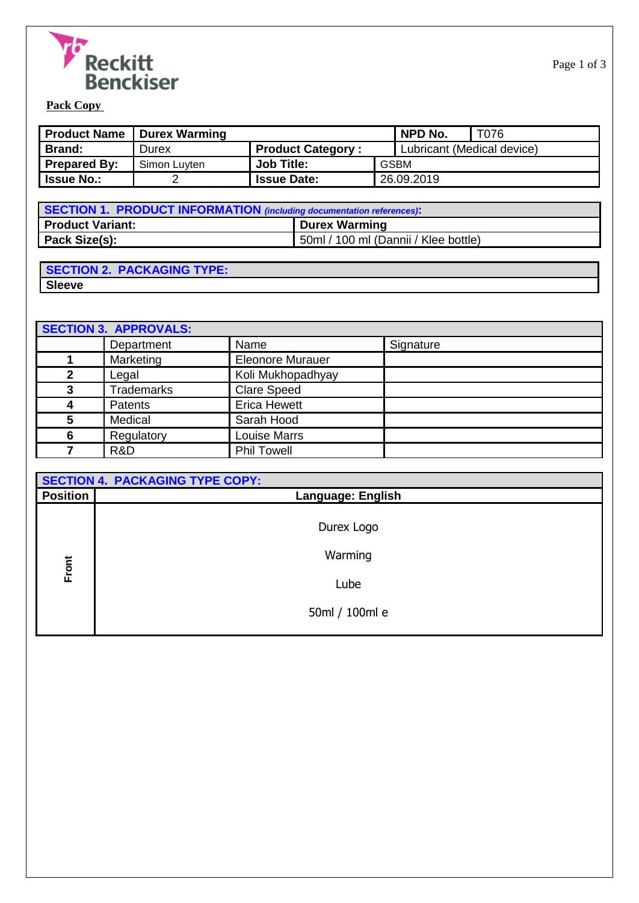

| Product Name        | <b>Durex Warming</b> |                          | NPD No.                    | T076 |
|---------------------|----------------------|--------------------------|----------------------------|------|
| <b>Brand:</b>       | Durex                | <b>Product Category:</b> | Lubricant (Medical device) |      |
| <b>Prepared By:</b> | Simon Luyten         | <b>Job Title:</b>        | <b>GSBM</b>                |      |
| <b>Issue No.:</b>   |                      | <b>Issue Date:</b>       | 26.09.2019                 |      |

| SECTION 1. PRODUCT INFORMATION (including documentation references). |                                      |  |
|----------------------------------------------------------------------|--------------------------------------|--|
| <b>Product Variant:</b>                                              | <b>Durex Warming</b>                 |  |
| Pack Size(s):                                                        | 50ml / 100 ml (Dannii / Klee bottle) |  |

| <b>SECTION 2. PACKAGING TYPE:</b> |  |
|-----------------------------------|--|
| <b>Sleeve</b>                     |  |

| <b>SECTION 3. APPROVALS:</b> |                   |                         |           |
|------------------------------|-------------------|-------------------------|-----------|
|                              | Department        | Name                    | Signature |
|                              | Marketing         | <b>Eleonore Murauer</b> |           |
| 2                            | Legal             | Koli Mukhopadhyay       |           |
| 3                            | <b>Trademarks</b> | <b>Clare Speed</b>      |           |
| 4                            | <b>Patents</b>    | <b>Erica Hewett</b>     |           |
| 5                            | Medical           | Sarah Hood              |           |
| 6                            | Regulatory        | <b>Louise Marrs</b>     |           |
|                              | R&D               | <b>Phil Towell</b>      |           |

|                 | <b>SECTION 4. PACKAGING TYPE COPY:</b> |  |  |
|-----------------|----------------------------------------|--|--|
| <b>Position</b> | <b>Language: English</b>               |  |  |
|                 | Durex Logo                             |  |  |
| Front           | Warming                                |  |  |
|                 | Lube                                   |  |  |
|                 | 50ml / 100ml e                         |  |  |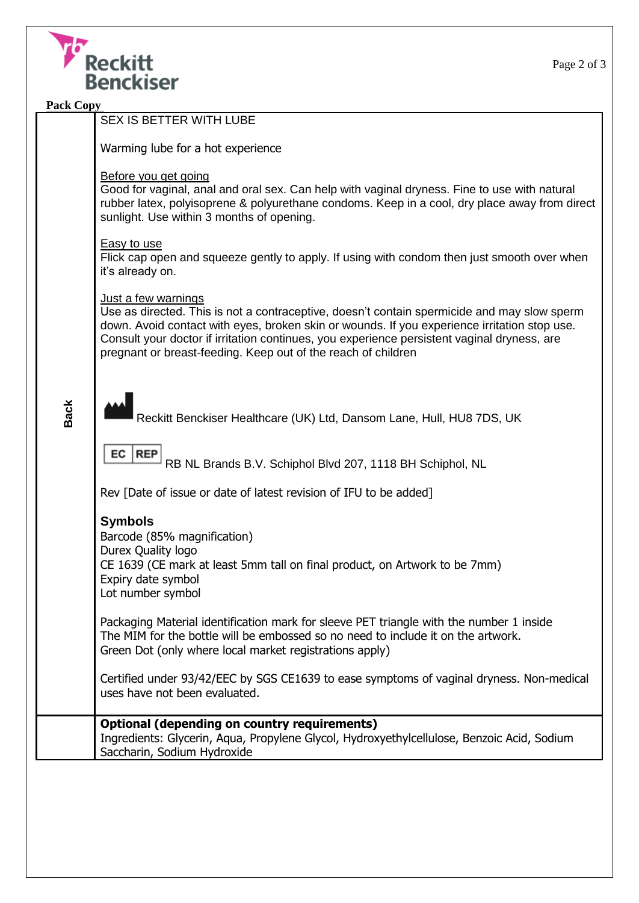

| <b>Pack Copy</b> |                                                                                                                                                                                                                                                                                                                                                                                    |  |  |
|------------------|------------------------------------------------------------------------------------------------------------------------------------------------------------------------------------------------------------------------------------------------------------------------------------------------------------------------------------------------------------------------------------|--|--|
|                  | SEX IS BETTER WITH LUBE                                                                                                                                                                                                                                                                                                                                                            |  |  |
|                  | Warming lube for a hot experience                                                                                                                                                                                                                                                                                                                                                  |  |  |
|                  | Before you get going<br>Good for vaginal, anal and oral sex. Can help with vaginal dryness. Fine to use with natural<br>rubber latex, polyisoprene & polyurethane condoms. Keep in a cool, dry place away from direct<br>sunlight. Use within 3 months of opening.                                                                                                                 |  |  |
|                  | <b>Easy to use</b><br>Flick cap open and squeeze gently to apply. If using with condom then just smooth over when<br>it's already on.                                                                                                                                                                                                                                              |  |  |
|                  | Just a few warnings<br>Use as directed. This is not a contraceptive, doesn't contain spermicide and may slow sperm<br>down. Avoid contact with eyes, broken skin or wounds. If you experience irritation stop use.<br>Consult your doctor if irritation continues, you experience persistent vaginal dryness, are<br>pregnant or breast-feeding. Keep out of the reach of children |  |  |
| <b>Back</b>      | Reckitt Benckiser Healthcare (UK) Ltd, Dansom Lane, Hull, HU8 7DS, UK                                                                                                                                                                                                                                                                                                              |  |  |
|                  | EC<br><b>REP</b><br>RB NL Brands B.V. Schiphol Blvd 207, 1118 BH Schiphol, NL                                                                                                                                                                                                                                                                                                      |  |  |
|                  | Rev [Date of issue or date of latest revision of IFU to be added]                                                                                                                                                                                                                                                                                                                  |  |  |
|                  | <b>Symbols</b><br>Barcode (85% magnification)<br>Durex Quality logo<br>CE 1639 (CE mark at least 5mm tall on final product, on Artwork to be 7mm)<br>Expiry date symbol<br>Lot number symbol                                                                                                                                                                                       |  |  |
|                  | Packaging Material identification mark for sleeve PET triangle with the number 1 inside<br>The MIM for the bottle will be embossed so no need to include it on the artwork.<br>Green Dot (only where local market registrations apply)                                                                                                                                             |  |  |
|                  | Certified under 93/42/EEC by SGS CE1639 to ease symptoms of vaginal dryness. Non-medical<br>uses have not been evaluated.                                                                                                                                                                                                                                                          |  |  |
|                  | <b>Optional (depending on country requirements)</b><br>Ingredients: Glycerin, Aqua, Propylene Glycol, Hydroxyethylcellulose, Benzoic Acid, Sodium<br>Saccharin, Sodium Hydroxide                                                                                                                                                                                                   |  |  |